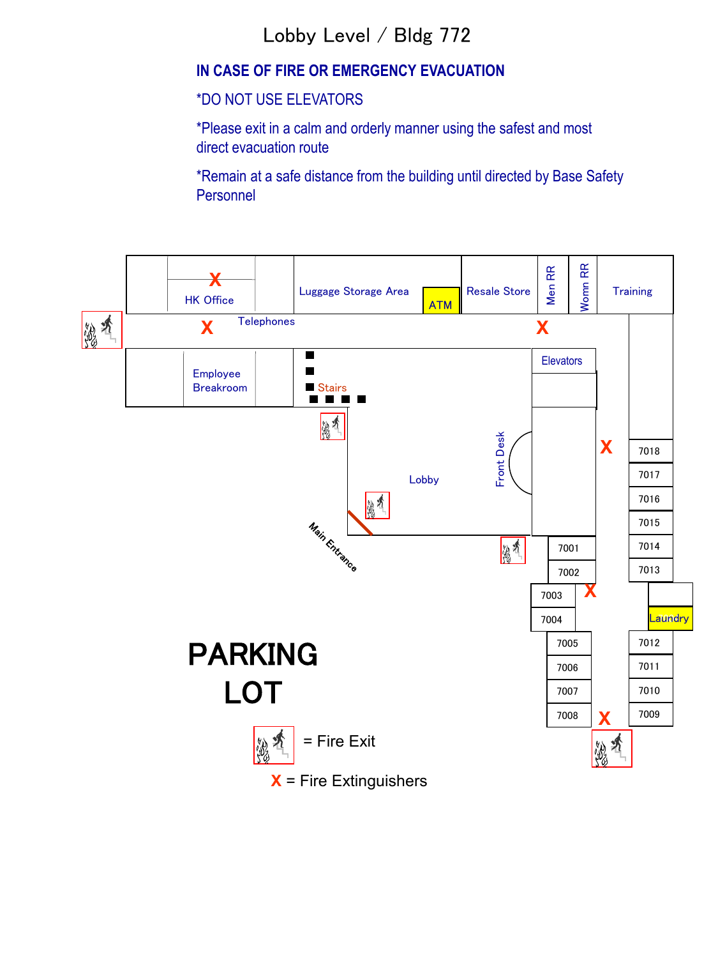## Lobby Level / Bldg 772

### **IN CASE OF FIRE OR EMERGENCY EVACUATION**

#### \*DO NOT USE ELEVATORS

\*Please exit in a calm and orderly manner using the safest and most direct evacuation route

\*Remain at a safe distance from the building until directed by Base Safety **Personnel** 

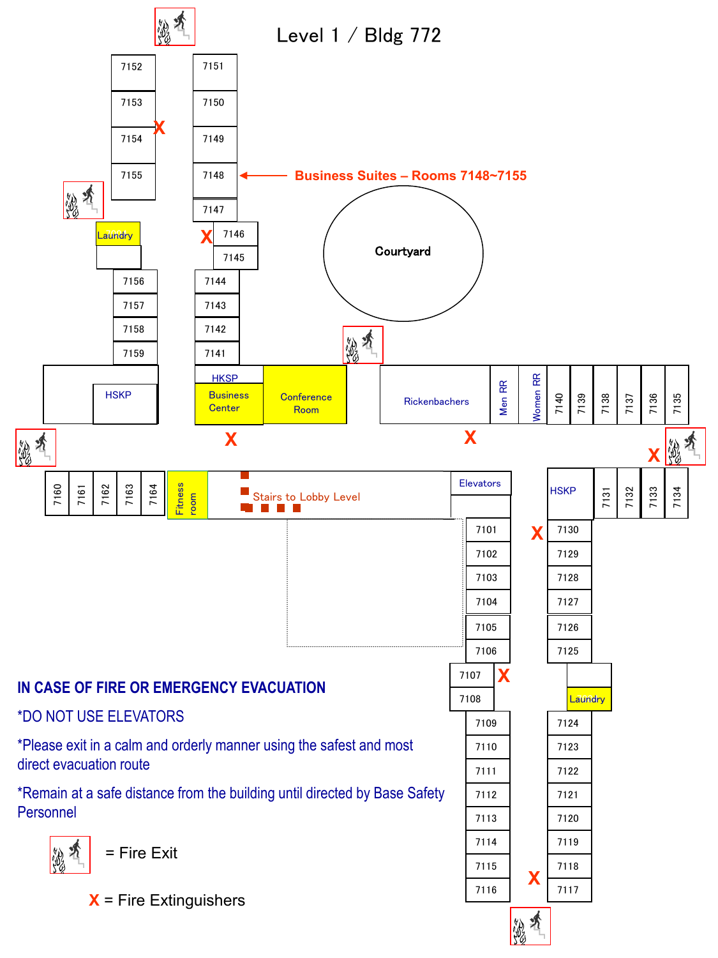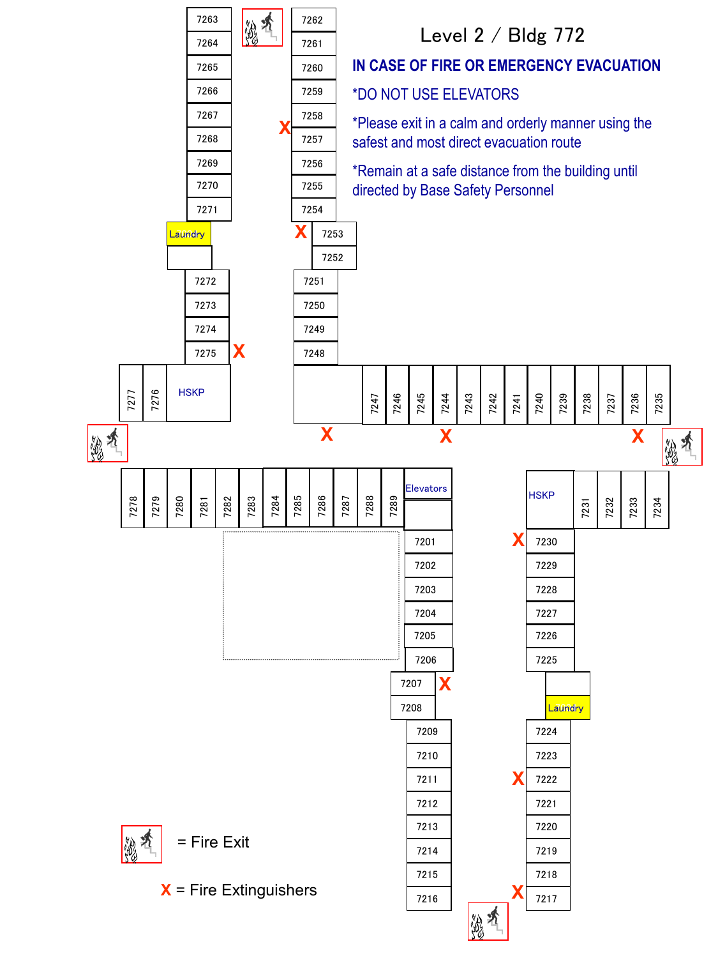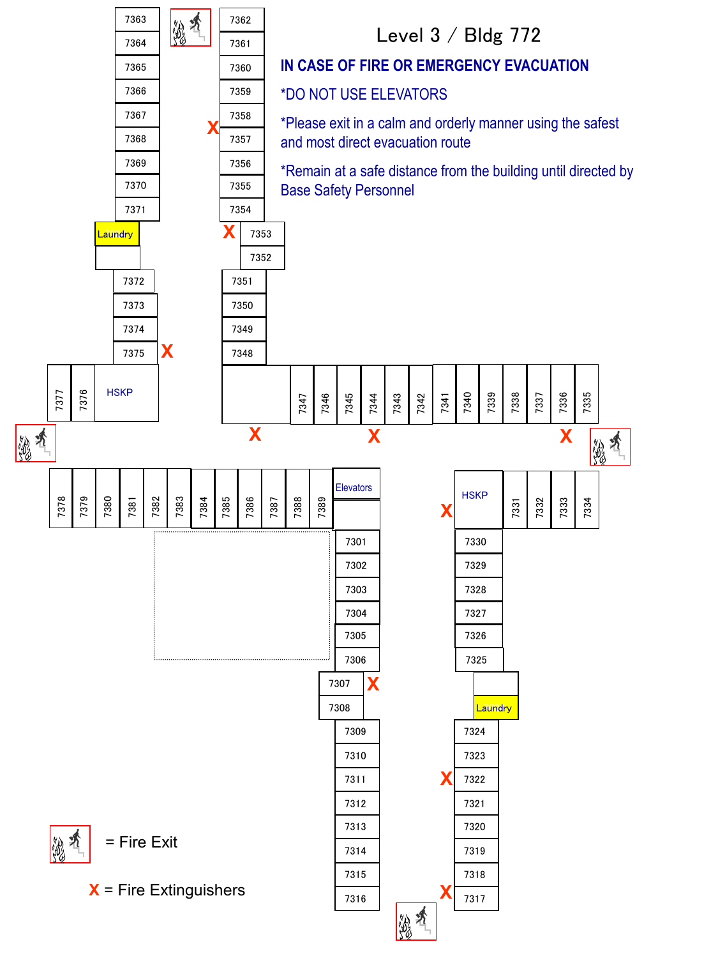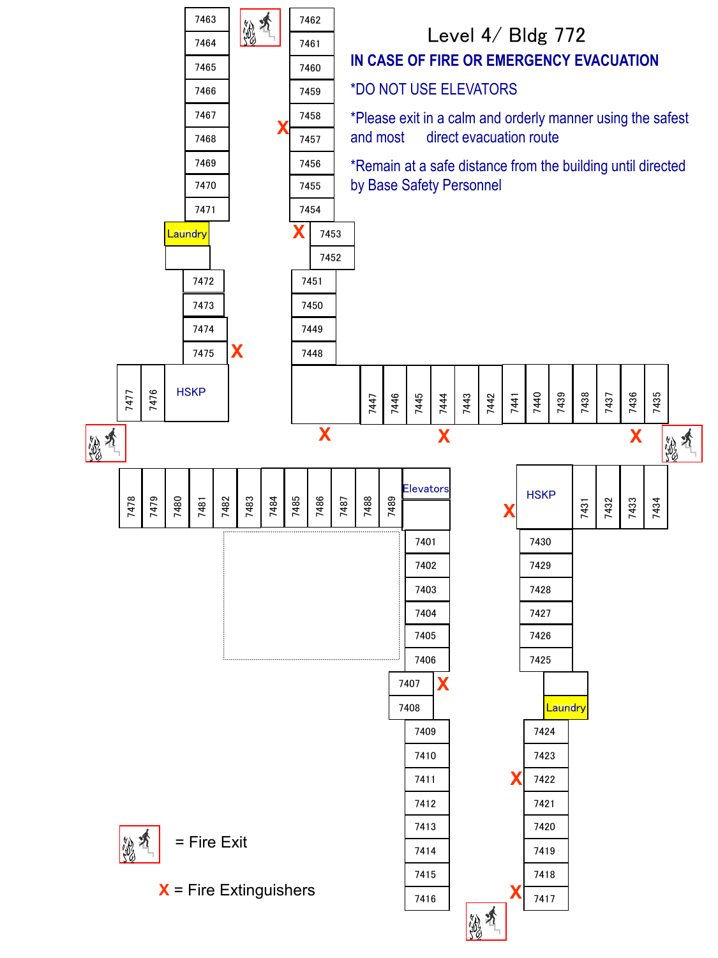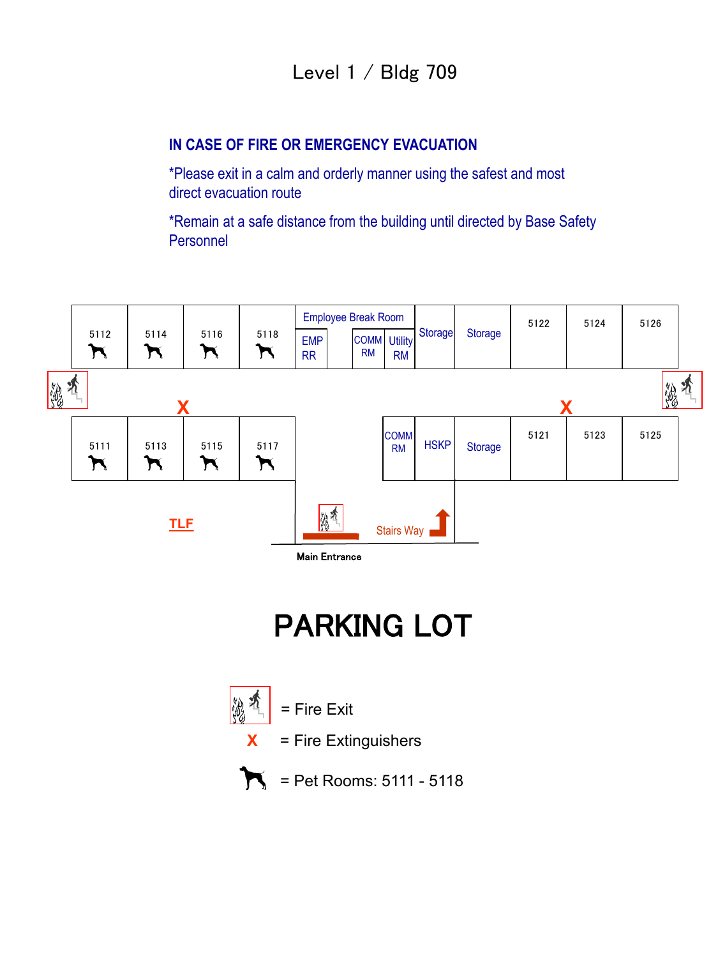### **IN CASE OF FIRE OR EMERGENCY EVACUATION**

\*Please exit in a calm and orderly manner using the safest and most direct evacuation route

\*Remain at a safe distance from the building until directed by Base Safety Personnel



# PARKING LOT

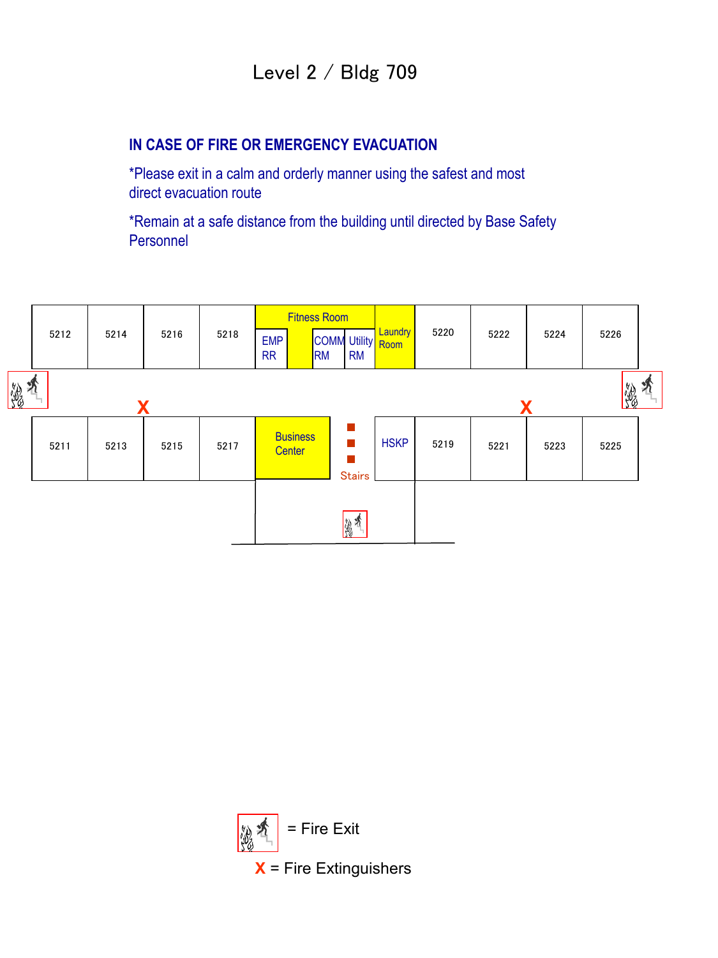## Level 2 / Bldg 709

### **IN CASE OF FIRE OR EMERGENCY EVACUATION**

\*Please exit in a calm and orderly manner using the safest and most direct evacuation route

\*Remain at a safe distance from the building until directed by Base Safety Personnel